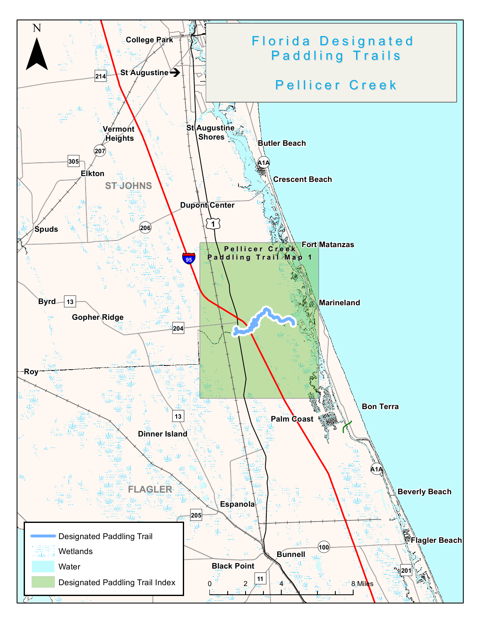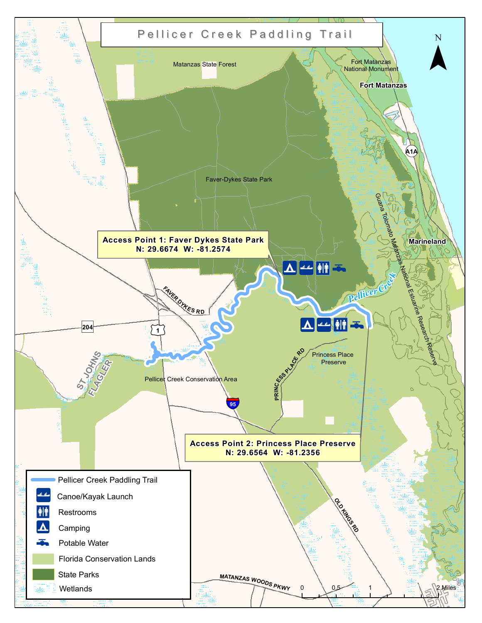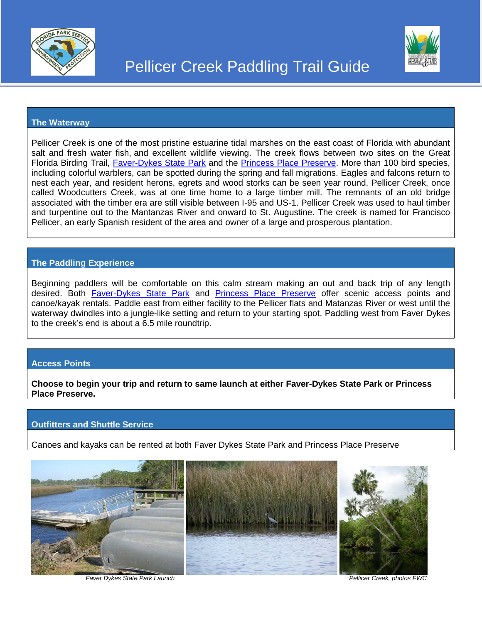



### **The Waterway**

Pellicer Creek is one of the most pristine estuarine tidal marshes on the east coast of Florida with abundant salt and fresh water fish, and excellent wildlife viewing. The creek flows between two sites on the Great Florida Birding Trail, [Faver-Dykes State Park](http://floridabirdingtrail.com/index.php/trip/trail/Faver-Dykes_State_Park/) and the [Princess Place Preserve.](http://floridabirdingtrail.com/index.php/trip/trail/Princess_Place_Preserve/) More than 100 bird species, including colorful warblers, can be spotted during the spring and fall migrations. Eagles and falcons return to nest each year, and resident herons, egrets and wood storks can be seen year round. Pellicer Creek, once called Woodcutters Creek, was at one time home to a large timber mill. The remnants of an old bridge associated with the timber era are still visible between I-95 and US-1. Pellicer Creek was used to haul timber and turpentine out to the Mantanzas River and onward to St. Augustine. The creek is named for Francisco Pellicer, an early Spanish resident of the area and owner of a large and prosperous plantation.

# **The Paddling Experience**

Beginning paddlers will be comfortable on this calm stream making an out and back trip of any length desired. Both [Faver-Dykes State Park](https://www.floridastateparks.org/park/Faver-Dykes) and [Princess Place Preserve](http://www.flaglercounty.org/Facilities/Facility/Details/18) offer scenic access points and canoe/kayak rentals. Paddle east from either facility to the Pellicer flats and Matanzas River or west until the waterway dwindles into a jungle-like setting and return to your starting spot. Paddling west from Faver Dykes to the creek's end is about a 6.5 mile roundtrip.

## **Access Points**

**Choose to begin your trip and return to same launch at either Faver-Dykes State Park or Princess Place Preserve.**

## **Outfitters and Shuttle Service**

Canoes and kayaks can be rented at both Faver Dykes State Park and Princess Place Preserve



 *Faver Dykes State Park Launch Pellicer Creek, photos FWC*